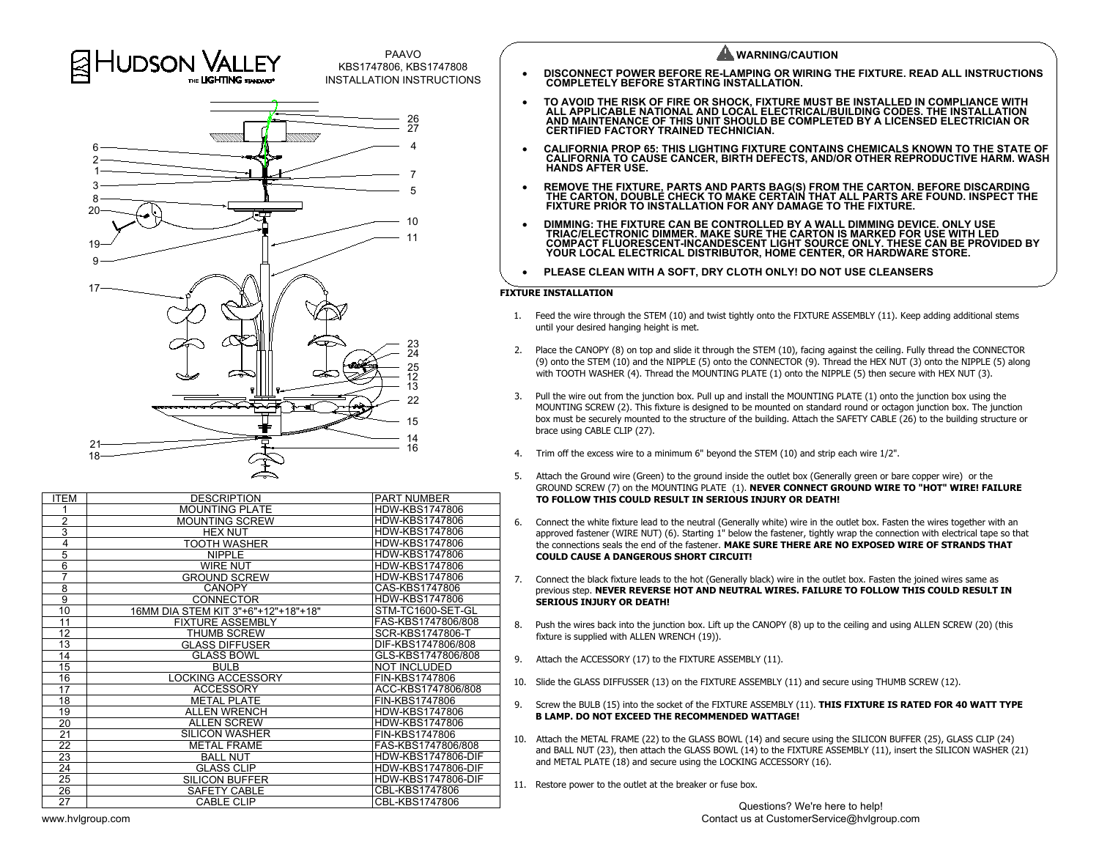

| <b>ITEM</b>     | <b>DESCRIPTION</b>                  | <b>PART NUMBER</b>        |
|-----------------|-------------------------------------|---------------------------|
|                 | <b>MOUNTING PLATE</b>               | HDW-KBS1747806            |
| $\overline{2}$  | <b>MOUNTING SCREW</b>               | HDW-KBS1747806            |
| 3               | <b>HEX NUT</b>                      | HDW-KBS1747806            |
| 4               | TOOTH WASHER                        | HDW-KBS1747806            |
| 5               | <b>NIPPLE</b>                       | <b>HDW-KBS1747806</b>     |
| 6               | <b>WIRE NUT</b>                     | <b>HDW-KBS1747806</b>     |
| 7               | <b>GROUND SCREW</b>                 | HDW-KBS1747806            |
| 8               | <b>CANOPY</b>                       | CAS-KBS1747806            |
| $\overline{9}$  | <b>CONNECTOR</b>                    | HDW-KBS1747806            |
| 10              | 16MM DIA STEM KIT 3"+6"+12"+18"+18" | STM-TC1600-SET-GL         |
| 11              | <b>FIXTURE ASSEMBLY</b>             | FAS-KBS1747806/808        |
| 12              | <b>THUMB SCREW</b>                  | SCR-KBS1747806-T          |
| 13              | <b>GLASS DIFFUSER</b>               | DIF-KBS1747806/808        |
| 14              | <b>GLASS BOWL</b>                   | GLS-KBS1747806/808        |
| 15              | <b>BULB</b>                         | <b>NOT INCLUDED</b>       |
| 16              | <b>LOCKING ACCESSORY</b>            | FIN-KBS1747806            |
| $\overline{17}$ | <b>ACCESSORY</b>                    | ACC-KBS1747806/808        |
| 18              | <b>METAL PLATE</b>                  | FIN-KBS1747806            |
| 19              | <b>ALLEN WRENCH</b>                 | <b>HDW-KBS1747806</b>     |
| 20              | <b>ALLEN SCREW</b>                  | HDW-KBS1747806            |
| 21              | <b>SILICON WASHER</b>               | FIN-KBS1747806            |
| $\overline{22}$ | <b>METAL FRAME</b>                  | FAS-KBS1747806/808        |
| 23              | <b>BALL NUT</b>                     | <b>HDW-KBS1747806-DIF</b> |
| 24              | <b>GLASS CLIP</b>                   | <b>HDW-KBS1747806-DIF</b> |
| 25              | <b>SILICON BUFFER</b>               | <b>HDW-KBS1747806-DIF</b> |
| $\overline{26}$ | SAFETY CABLE                        | CBL-KBS1747806            |
| 27              | <b>CABLE CLIP</b>                   | CBL-KBS1747806            |

PAAVO<br>INSTALLATION INSTRUCTIONS **WARNING/CAUTION**<br>INSTALLATION INSTRUCTIONS COMPLETELY BEFORE STARTING INSTALLATION. TO AVOID THE RISK OF FIRE OR SHOCK, FIXTURE MUST BE INSTALLED IN COMPLIANCE WITH<br>ALL APPLICABLE NATIONAL AND LOCAL ELECTRICAL/BUILDING CODES. THE INSTALLATION<br>AND MAINTENANCE OF THIS UNIT SHOULD BE COMPLETED BY A LICENSED · **CALIFORNIA PROP 65: THIS LIGHTING FIXTURE CONTAINS CHEMICALS KNOWN TO THE STATE OF CALIFORNIA TO CAUSE CANCER, BIRTH DEFECTS, AND/OR OTHER REPRODUCTIVE HARM. WASH HANDS AFTER USE.** REMOVE THE FIXTURE, PARTS AND PARTS BAG(S) FROM THE CARTON. BEFORE DISCARDING<br>THE CARTON, DOUBLE CHECK TO MAKE CERTAIN THAT ALL PARTS ARE FOUND. INSPECT THE<br>FIXTURE PRIOR TO INSTALLATION FOR ANY DAMAGE TO THE FIXTURE.

- DIMMING: THE FIXTURE CAN BE CONTROLLED BY A WALL DIMMING DEVICE. ONLY USE<br>TRIAC/ELECTRONIC DIMMER. MAKE SURE THE CARTON IS MARKED FOR USE WITH LED<br>COMPACT FLUORESCENT-INCANDESCENT LIGHT SOURCE ONLY. THESE CAN BE PROVIDED
- 

- 
- 
- 
- 
- 
- 
- 
- 
- 
- 
- 
- and BALL NUT (23), then attach the GLASS BOWL (14) to the FIXTURE ASSEMBLY (11), insert the SILICON WASHER (21)<br>and METAL PLATE (18) and secure using the LOCKING ACCESSORY (16).<br>Restore power to the outlet at the breaker o
- 11. Restore power to the outlet at the breaker or fuse box.<br>Questions? We're here to help!